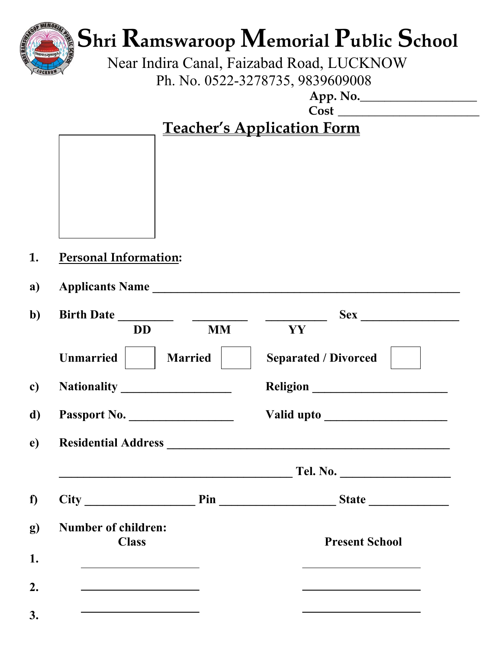

# **Shri Ramswaroop Memorial Public School**

 Near Indira Canal, Faizabad Road, LUCKNOW Ph. No. 0522-3278735, 9839609008

 **App. No.\_\_\_\_\_\_\_\_\_\_\_\_\_\_\_\_\_\_\_** 

 **Cost \_\_\_\_\_\_\_\_\_\_\_\_\_\_\_\_\_\_\_\_\_\_\_** 

## **Teacher's Application Form**

- **1. Personal Information:**
- **a) Applicants Name \_\_\_\_\_\_\_\_\_\_\_\_\_\_\_\_\_\_\_\_\_\_\_\_\_\_\_\_\_\_\_\_\_\_\_\_\_\_\_\_\_\_\_\_\_\_\_\_\_\_**

| <b>Birth Date</b><br><u>and the second property</u>                 | $\frac{1}{2} \left( \frac{1}{2} \right)^2 + \frac{1}{2} \left( \frac{1}{2} \right)^2 + \frac{1}{2} \left( \frac{1}{2} \right)^2 + \frac{1}{2} \left( \frac{1}{2} \right)^2 + \frac{1}{2} \left( \frac{1}{2} \right)^2 + \frac{1}{2} \left( \frac{1}{2} \right)^2 + \frac{1}{2} \left( \frac{1}{2} \right)^2 + \frac{1}{2} \left( \frac{1}{2} \right)^2 + \frac{1}{2} \left( \frac{1}{2} \right)^2 + \frac{1}{2} \left( \frac{1}{2} \right)^2 +$ |                                                                                           |
|---------------------------------------------------------------------|-------------------------------------------------------------------------------------------------------------------------------------------------------------------------------------------------------------------------------------------------------------------------------------------------------------------------------------------------------------------------------------------------------------------------------------------------|-------------------------------------------------------------------------------------------|
| <b>DD</b>                                                           | <b>MM</b>                                                                                                                                                                                                                                                                                                                                                                                                                                       | YY                                                                                        |
| <b>Unmarried</b>                                                    | <b>Married</b>                                                                                                                                                                                                                                                                                                                                                                                                                                  | <b>Separated / Divorced</b>                                                               |
|                                                                     |                                                                                                                                                                                                                                                                                                                                                                                                                                                 |                                                                                           |
| Passport No.                                                        |                                                                                                                                                                                                                                                                                                                                                                                                                                                 |                                                                                           |
|                                                                     |                                                                                                                                                                                                                                                                                                                                                                                                                                                 |                                                                                           |
|                                                                     |                                                                                                                                                                                                                                                                                                                                                                                                                                                 | Tel. No.                                                                                  |
|                                                                     |                                                                                                                                                                                                                                                                                                                                                                                                                                                 |                                                                                           |
| <b>Number of children:</b><br><b>Class</b>                          |                                                                                                                                                                                                                                                                                                                                                                                                                                                 | <b>Present School</b>                                                                     |
| <u> 1989 - Johann Stein, mars an deus Amerikaansk kommunister (</u> |                                                                                                                                                                                                                                                                                                                                                                                                                                                 | the control of the control of the control of the control of the control of the control of |
|                                                                     |                                                                                                                                                                                                                                                                                                                                                                                                                                                 |                                                                                           |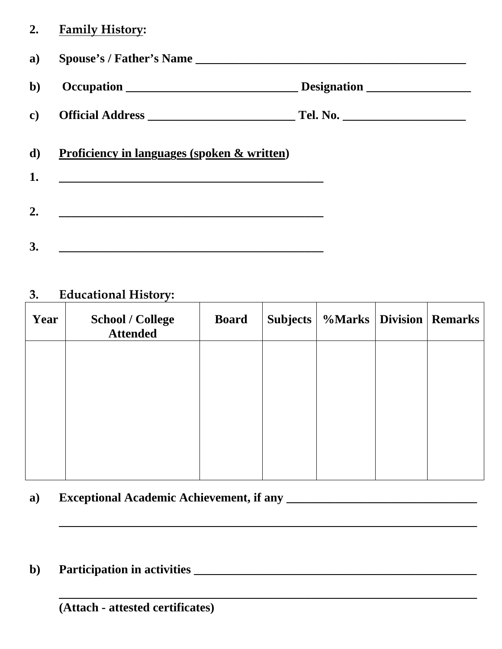#### **2. Family History:**

| a)           |                                                        |             |
|--------------|--------------------------------------------------------|-------------|
| $\mathbf{b}$ |                                                        | Designation |
| $\mathbf{c}$ |                                                        |             |
| d)           | <u>Proficiency in languages (spoken &amp; written)</u> |             |
| 1.           |                                                        |             |
| 2.           |                                                        |             |
| 3.           |                                                        |             |

### **3. Educational History:**

| Year | <b>School / College</b><br><b>Attended</b> | <b>Board</b> | <b>Subjects</b> |  | %Marks   Division   Remarks |
|------|--------------------------------------------|--------------|-----------------|--|-----------------------------|
|      |                                            |              |                 |  |                             |
|      |                                            |              |                 |  |                             |
|      |                                            |              |                 |  |                             |
|      |                                            |              |                 |  |                             |

 **\_\_\_\_\_\_\_\_\_\_\_\_\_\_\_\_\_\_\_\_\_\_\_\_\_\_\_\_\_\_\_\_\_\_\_\_\_\_\_\_\_\_\_\_\_\_\_\_\_\_\_\_\_\_\_\_\_\_\_\_\_\_\_\_\_\_\_\_** 

 **\_\_\_\_\_\_\_\_\_\_\_\_\_\_\_\_\_\_\_\_\_\_\_\_\_\_\_\_\_\_\_\_\_\_\_\_\_\_\_\_\_\_\_\_\_\_\_\_\_\_\_\_\_\_\_\_\_\_\_\_\_\_\_\_\_\_\_\_**

#### a) Exceptional Academic Achievement, if any **\_\_\_\_\_\_\_\_\_\_\_\_\_\_\_\_\_\_\_\_\_\_\_\_\_\_\_\_**

**b) Participation in activities \_\_\_\_\_\_\_\_\_\_\_\_\_\_\_\_\_\_\_\_\_\_\_\_\_\_\_\_\_\_\_\_\_\_\_\_\_\_\_\_\_\_\_\_\_\_** 

 **(Attach - attested certificates)**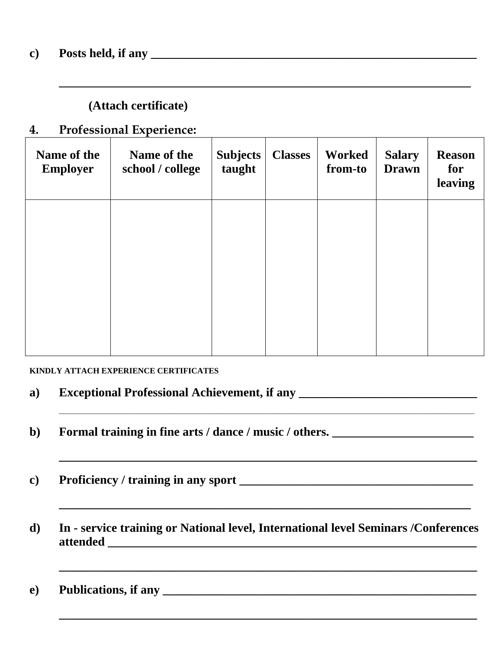#### **c) Posts held, if any \_\_\_\_\_\_\_\_\_\_\_\_\_\_\_\_\_\_\_\_\_\_\_\_\_\_\_\_\_\_\_\_\_\_\_\_\_\_\_\_\_\_\_\_\_\_\_\_\_\_\_\_\_**

#### **(Attach certificate)**

#### **4. Professional Experience:**

| Name of the<br><b>Employer</b> | Name of the<br>school / college | <b>Subjects</b><br>taught | <b>Classes</b> | Worked<br>from-to | <b>Salary</b><br><b>Drawn</b> | <b>Reason</b><br>for<br>leaving |
|--------------------------------|---------------------------------|---------------------------|----------------|-------------------|-------------------------------|---------------------------------|
|                                |                                 |                           |                |                   |                               |                                 |
|                                |                                 |                           |                |                   |                               |                                 |
|                                |                                 |                           |                |                   |                               |                                 |
|                                |                                 |                           |                |                   |                               |                                 |

 **\_\_\_\_\_\_\_\_\_\_\_\_\_\_\_\_\_\_\_\_\_\_\_\_\_\_\_\_\_\_\_\_\_\_\_\_\_\_\_\_\_\_\_\_\_\_\_\_\_\_\_\_\_\_\_\_\_\_\_\_\_\_\_\_\_\_\_** 

#### **KINDLY ATTACH EXPERIENCE CERTIFICATES**

| a) | <b>Exceptional Professional Achievement, if any</b> |
|----|-----------------------------------------------------|
|----|-----------------------------------------------------|

- **b**) Formal training in fine arts / dance / music / others.
- **c) Proficiency / training in any sport \_\_\_\_\_\_\_\_\_\_\_\_\_\_\_\_\_\_\_\_\_\_\_\_\_\_\_\_\_\_\_\_\_\_\_\_\_\_**
- **d) In service training or National level, International level Seminars /Conferences attended \_\_\_\_\_\_\_\_\_\_\_\_\_\_\_\_\_\_\_\_\_\_\_\_\_\_\_\_\_\_\_\_\_\_\_\_\_\_\_\_\_\_\_\_\_\_\_\_\_\_\_\_\_\_\_\_\_\_\_\_**

 **\_\_\_\_\_\_\_\_\_\_\_\_\_\_\_\_\_\_\_\_\_\_\_\_\_\_\_\_\_\_\_\_\_\_\_\_\_\_\_\_\_\_\_\_\_\_\_\_\_\_\_\_\_\_\_\_\_\_\_\_\_\_\_\_\_\_\_\_** 

 **\_\_\_\_\_\_\_\_\_\_\_\_\_\_\_\_\_\_\_\_\_\_\_\_\_\_\_\_\_\_\_\_\_\_\_\_\_\_\_\_\_\_\_\_\_\_\_\_\_\_\_\_\_\_\_\_\_\_\_\_\_\_\_\_\_\_\_\_** 

 **\_\_\_\_\_\_\_\_\_\_\_\_\_\_\_\_\_\_\_\_\_\_\_\_\_\_\_\_\_\_\_\_\_\_\_\_\_\_\_\_\_\_\_\_\_\_\_\_\_\_\_\_\_\_\_\_\_\_\_\_\_\_\_\_\_\_\_** 

 **\_\_\_\_\_\_\_\_\_\_\_\_\_\_\_\_\_\_\_\_\_\_\_\_\_\_\_\_\_\_\_\_\_\_\_\_\_\_\_\_\_\_\_\_\_\_\_\_\_\_\_\_\_\_\_\_\_\_\_\_\_\_\_\_\_\_\_\_** 

e) Publications, if any